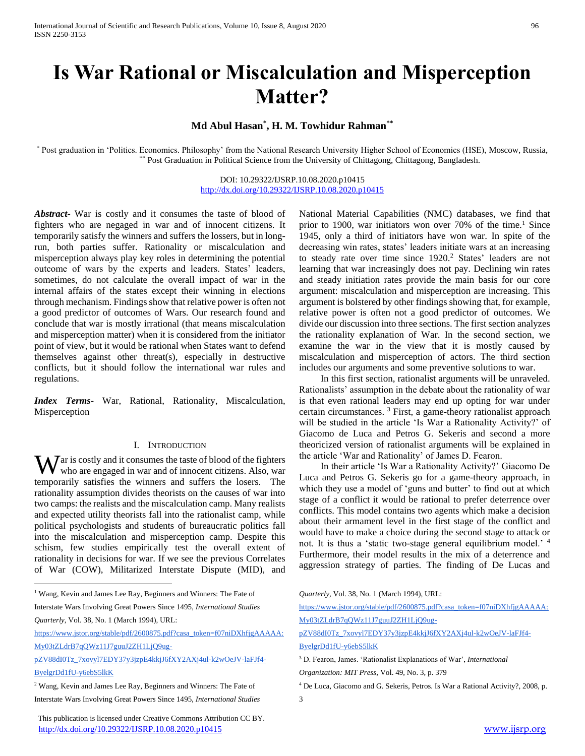International Journal of Scientific and Research Publications, Volume 10, Issue 8, August 2020 96 ISSN 2250-3153

# **Is War Rational or Miscalculation and Misperception Matter?**

# **Md Abul Hasan\* , H. M. Towhidur Rahman\*\***

\* Post graduation in 'Politics. Economics. Philosophy' from the National Research University Higher School of Economics (HSE), Moscow, Russia, \*\* Post Graduation in Political Science from the University of Chittagong, Chittagong, Bangladesh.

## DOI: 10.29322/IJSRP.10.08.2020.p10415 <http://dx.doi.org/10.29322/IJSRP.10.08.2020.p10415>

*Abstract***-** War is costly and it consumes the taste of blood of fighters who are negaged in war and of innocent citizens. It temporarily satisfy the winners and suffers the lossers, but in longrun, both parties suffer. Rationality or miscalculation and misperception always play key roles in determining the potential outcome of wars by the experts and leaders. States' leaders, sometimes, do not calculate the overall impact of war in the internal affairs of the states except their winning in elections through mechanism. Findings show that relative power is often not a good predictor of outcomes of Wars. Our research found and conclude that war is mostly irrational (that means miscalculation and misperception matter) when it is considered from the initiator point of view, but it would be rational when States want to defend themselves against other threat(s), especially in destructive conflicts, but it should follow the international war rules and regulations.

*Index Terms*- War, Rational, Rationality, Miscalculation, Misperception

#### I. INTRODUCTION

 $\mathbf{W}$  ar is costly and it consumes the taste of blood of the fighters who are engaged in war and of innocent citizens. Also, war who are engaged in war and of innocent citizens. Also, war temporarily satisfies the winners and suffers the losers. The rationality assumption divides theorists on the causes of war into two camps: the realists and the miscalculation camp. Many realists and expected utility theorists fall into the rationalist camp, while political psychologists and students of bureaucratic politics fall into the miscalculation and misperception camp. Despite this schism, few studies empirically test the overall extent of rationality in decisions for war. If we see the previous Correlates of War (COW), Militarized Interstate Dispute (MID), and

<sup>1</sup> Wang, Kevin and James Lee Ray, Beginners and Winners: The Fate of Interstate Wars Involving Great Powers Since 1495, *International Studies* 

*Quarterly*, Vol. 38, No. 1 (March 1994), URL:

 $\overline{a}$ 

[https://www.jstor.org/stable/pdf/2600875.pdf?casa\\_token=f07niDXhfjgAAAAA:](https://www.jstor.org/stable/pdf/2600875.pdf?casa_token=f07niDXhfjgAAAAA:My03tZLdrB7qQWz11J7guuJ2ZH1LjQ9ug-pZV88dI0Tz_7xovyl7EDY37y3jzpE4kkjJ6fXY2AXj4ul-k2wOeJV-laFJf4-ByelgrDd1fU-y6ebS5lkK) [My03tZLdrB7qQWz11J7guuJ2ZH1LjQ9ug-](https://www.jstor.org/stable/pdf/2600875.pdf?casa_token=f07niDXhfjgAAAAA:My03tZLdrB7qQWz11J7guuJ2ZH1LjQ9ug-pZV88dI0Tz_7xovyl7EDY37y3jzpE4kkjJ6fXY2AXj4ul-k2wOeJV-laFJf4-ByelgrDd1fU-y6ebS5lkK)

<sup>2</sup> Wang, Kevin and James Lee Ray, Beginners and Winners: The Fate of Interstate Wars Involving Great Powers Since 1495, *International Studies* 

 This publication is licensed under Creative Commons Attribution CC BY. <http://dx.doi.org/10.29322/IJSRP.10.08.2020.p10415> [www.ijsrp.org](http://ijsrp.org/)

National Material Capabilities (NMC) databases, we find that prior to 1900, war initiators won over 70% of the time.<sup>1</sup> Since 1945, only a third of initiators have won war. In spite of the decreasing win rates, states' leaders initiate wars at an increasing to steady rate over time since 1920.<sup>2</sup> States' leaders are not learning that war increasingly does not pay. Declining win rates and steady initiation rates provide the main basis for our core argument: miscalculation and misperception are increasing. This argument is bolstered by other findings showing that, for example, relative power is often not a good predictor of outcomes. We divide our discussion into three sections. The first section analyzes the rationality explanation of War. In the second section, we examine the war in the view that it is mostly caused by miscalculation and misperception of actors. The third section includes our arguments and some preventive solutions to war.

 In this first section, rationalist arguments will be unraveled. Rationalists' assumption in the debate about the rationality of war is that even rational leaders may end up opting for war under certain circumstances. <sup>3</sup> First, a game-theory rationalist approach will be studied in the article 'Is War a Rationality Activity?' of Giacomo de Luca and Petros G. Sekeris and second a more theoricized version of rationalist arguments will be explained in the article 'War and Rationality' of James D. Fearon.

 In their article 'Is War a Rationality Activity?' Giacomo De Luca and Petros G. Sekeris go for a game-theory approach, in which they use a model of 'guns and butter' to find out at which stage of a conflict it would be rational to prefer deterrence over conflicts. This model contains two agents which make a decision about their armament level in the first stage of the conflict and would have to make a choice during the second stage to attack or not. It is thus a 'static two-stage general equilibrium model.' <sup>4</sup> Furthermore, their model results in the mix of a deterrence and aggression strategy of parties. The finding of De Lucas and

*Quarterly*, Vol. 38, No. 1 (March 1994), URL:

[https://www.jstor.org/stable/pdf/2600875.pdf?casa\\_token=f07niDXhfjgAAAAA:](https://www.jstor.org/stable/pdf/2600875.pdf?casa_token=f07niDXhfjgAAAAA:My03tZLdrB7qQWz11J7guuJ2ZH1LjQ9ug-pZV88dI0Tz_7xovyl7EDY37y3jzpE4kkjJ6fXY2AXj4ul-k2wOeJV-laFJf4-ByelgrDd1fU-y6ebS5lkK) [My03tZLdrB7qQWz11J7guuJ2ZH1LjQ9ug-](https://www.jstor.org/stable/pdf/2600875.pdf?casa_token=f07niDXhfjgAAAAA:My03tZLdrB7qQWz11J7guuJ2ZH1LjQ9ug-pZV88dI0Tz_7xovyl7EDY37y3jzpE4kkjJ6fXY2AXj4ul-k2wOeJV-laFJf4-ByelgrDd1fU-y6ebS5lkK)

[pZV88dI0Tz\\_7xovyl7EDY37y3jzpE4kkjJ6fXY2AXj4ul-k2wOeJV-laFJf4-](https://www.jstor.org/stable/pdf/2600875.pdf?casa_token=f07niDXhfjgAAAAA:My03tZLdrB7qQWz11J7guuJ2ZH1LjQ9ug-pZV88dI0Tz_7xovyl7EDY37y3jzpE4kkjJ6fXY2AXj4ul-k2wOeJV-laFJf4-ByelgrDd1fU-y6ebS5lkK) [ByelgrDd1fU-y6ebS5lkK](https://www.jstor.org/stable/pdf/2600875.pdf?casa_token=f07niDXhfjgAAAAA:My03tZLdrB7qQWz11J7guuJ2ZH1LjQ9ug-pZV88dI0Tz_7xovyl7EDY37y3jzpE4kkjJ6fXY2AXj4ul-k2wOeJV-laFJf4-ByelgrDd1fU-y6ebS5lkK)

<sup>3</sup> D. Fearon, James. 'Rationalist Explanations of War', *International* 

*Organization: MIT Press*, Vol. 49, No. 3, p. 379

<sup>4</sup> De Luca, Giacomo and G. Sekeris, Petros. Is War a Rational Activity?, 2008, p.

3

[pZV88dI0Tz\\_7xovyl7EDY37y3jzpE4kkjJ6fXY2AXj4ul-k2wOeJV-laFJf4-](https://www.jstor.org/stable/pdf/2600875.pdf?casa_token=f07niDXhfjgAAAAA:My03tZLdrB7qQWz11J7guuJ2ZH1LjQ9ug-pZV88dI0Tz_7xovyl7EDY37y3jzpE4kkjJ6fXY2AXj4ul-k2wOeJV-laFJf4-ByelgrDd1fU-y6ebS5lkK) [ByelgrDd1fU-y6ebS5lkK](https://www.jstor.org/stable/pdf/2600875.pdf?casa_token=f07niDXhfjgAAAAA:My03tZLdrB7qQWz11J7guuJ2ZH1LjQ9ug-pZV88dI0Tz_7xovyl7EDY37y3jzpE4kkjJ6fXY2AXj4ul-k2wOeJV-laFJf4-ByelgrDd1fU-y6ebS5lkK)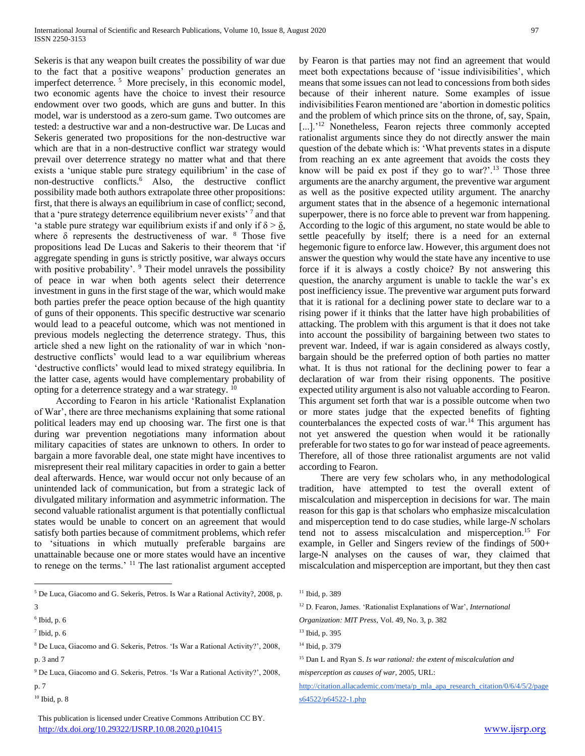Sekeris is that any weapon built creates the possibility of war due to the fact that a positive weapons' production generates an imperfect deterrence. <sup>5</sup> More precisely, in this economic model, two economic agents have the choice to invest their resource endowment over two goods, which are guns and butter. In this model, war is understood as a zero-sum game. Two outcomes are tested: a destructive war and a non-destructive war. De Lucas and Sekeris generated two propositions for the non-destructive war which are that in a non-destructive conflict war strategy would prevail over deterrence strategy no matter what and that there exists a 'unique stable pure strategy equilibrium' in the case of non-destructive conflicts.<sup>6</sup> Also, the destructive conflict possibility made both authors extrapolate three other propositions: first, that there is always an equilibrium in case of conflict; second, that a 'pure strategy deterrence equilibrium never exists'<sup>7</sup> and that 'a stable pure strategy war equilibrium exists if and only if  $\delta > \underline{\delta}$ , where  $\delta$  represents the destructiveness of war.  $\delta$  Those five propositions lead De Lucas and Sakeris to their theorem that 'if aggregate spending in guns is strictly positive, war always occurs with positive probability'. <sup>9</sup> Their model unravels the possibility of peace in war when both agents select their deterrence investment in guns in the first stage of the war, which would make both parties prefer the peace option because of the high quantity of guns of their opponents. This specific destructive war scenario would lead to a peaceful outcome, which was not mentioned in previous models neglecting the deterrence strategy. Thus, this article shed a new light on the rationality of war in which 'nondestructive conflicts' would lead to a war equilibrium whereas 'destructive conflicts' would lead to mixed strategy equilibria. In the latter case, agents would have complementary probability of opting for a deterrence strategy and a war strategy. <sup>10</sup>

 According to Fearon in his article 'Rationalist Explanation of War', there are three mechanisms explaining that some rational political leaders may end up choosing war. The first one is that during war prevention negotiations many information about military capacities of states are unknown to others. In order to bargain a more favorable deal, one state might have incentives to misrepresent their real military capacities in order to gain a better deal afterwards. Hence, war would occur not only because of an unintended lack of communication, but from a strategic lack of divulgated military information and asymmetric information. The second valuable rationalist argument is that potentially conflictual states would be unable to concert on an agreement that would satisfy both parties because of commitment problems, which refer to 'situations in which mutually preferable bargains are unattainable because one or more states would have an incentive to renege on the terms.' <sup>11</sup> The last rationalist argument accepted

<sup>5</sup> De Luca, Giacomo and G. Sekeris, Petros. Is War a Rational Activity?, 2008, p. 3

 $\overline{a}$ 

- $<sup>7</sup>$  Ibid, p. 6</sup>
- <sup>8</sup> De Luca, Giacomo and G. Sekeris, Petros. 'Is War a Rational Activity?', 2008, p. 3 and 7
- <sup>9</sup> De Luca, Giacomo and G. Sekeris, Petros. 'Is War a Rational Activity?', 2008, p. 7
- $10$  Ibid, p. 8

 This publication is licensed under Creative Commons Attribution CC BY. <http://dx.doi.org/10.29322/IJSRP.10.08.2020.p10415> [www.ijsrp.org](http://ijsrp.org/)

by Fearon is that parties may not find an agreement that would meet both expectations because of 'issue indivisibilities', which means that some issues can not lead to concessions from both sides because of their inherent nature. Some examples of issue indivisibilities Fearon mentioned are 'abortion in domestic politics and the problem of which prince sits on the throne, of, say, Spain, [...].'<sup>12</sup> Nonetheless, Fearon rejects three commonly accepted rationalist arguments since they do not directly answer the main question of the debate which is: 'What prevents states in a dispute from reaching an ex ante agreement that avoids the costs they know will be paid ex post if they go to war?'. $13$  Those three arguments are the anarchy argument, the preventive war argument as well as the positive expected utility argument. The anarchy argument states that in the absence of a hegemonic international superpower, there is no force able to prevent war from happening. According to the logic of this argument, no state would be able to settle peacefully by itself; there is a need for an external hegemonic figure to enforce law. However, this argument does not answer the question why would the state have any incentive to use force if it is always a costly choice? By not answering this question, the anarchy argument is unable to tackle the war's ex post inefficiency issue. The preventive war argument puts forward that it is rational for a declining power state to declare war to a rising power if it thinks that the latter have high probabilities of attacking. The problem with this argument is that it does not take into account the possibility of bargaining between two states to prevent war. Indeed, if war is again considered as always costly, bargain should be the preferred option of both parties no matter what. It is thus not rational for the declining power to fear a declaration of war from their rising opponents. The positive expected utility argument is also not valuable according to Fearon. This argument set forth that war is a possible outcome when two or more states judge that the expected benefits of fighting counterbalances the expected costs of war.<sup>14</sup> This argument has not yet answered the question when would it be rationally preferable for two states to go for war instead of peace agreements. Therefore, all of those three rationalist arguments are not valid according to Fearon.

 There are very few scholars who, in any methodological tradition, have attempted to test the overall extent of miscalculation and misperception in decisions for war. The main reason for this gap is that scholars who emphasize miscalculation and misperception tend to do case studies, while large-*N* scholars tend not to assess miscalculation and misperception.<sup>15</sup> For example, in Geller and Singers review of the findings of 500+ large-N analyses on the causes of war, they claimed that miscalculation and misperception are important, but they then cast

- <sup>12</sup> D. Fearon, James. 'Rationalist Explanations of War', *International*
- *Organization: MIT Press*, Vol. 49, No. 3, p. 382

[http://citation.allacademic.com/meta/p\\_mla\\_apa\\_research\\_citation/0/6/4/5/2/page](http://citation.allacademic.com/meta/p_mla_apa_research_citation/0/6/4/5/2/pages64522/p64522-1.php) [s64522/p64522-1.php](http://citation.allacademic.com/meta/p_mla_apa_research_citation/0/6/4/5/2/pages64522/p64522-1.php)

 $6$  Ibid, p.  $6$ 

<sup>&</sup>lt;sup>11</sup> Ibid, p. 389

<sup>13</sup> Ibid, p. 395

<sup>14</sup> Ibid, p. 379

<sup>15</sup> Dan L and Ryan S. *Is war rational: the extent of miscalculation and* 

*misperception as causes of war*, 2005, URL: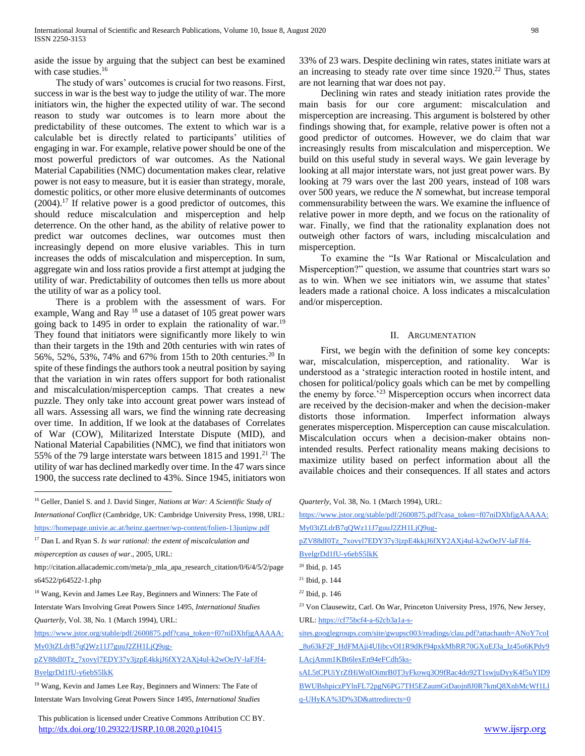aside the issue by arguing that the subject can best be examined with case studies.<sup>16</sup>

 The study of wars' outcomes is crucial for two reasons. First, success in war is the best way to judge the utility of war. The more initiators win, the higher the expected utility of war. The second reason to study war outcomes is to learn more about the predictability of these outcomes. The extent to which war is a calculable bet is directly related to participants' utilities of engaging in war. For example, relative power should be one of the most powerful predictors of war outcomes. As the National Material Capabilities (NMC) documentation makes clear, relative power is not easy to measure, but it is easier than strategy, morale, domestic politics, or other more elusive determinants of outcomes  $(2004).$ <sup>17</sup> If relative power is a good predictor of outcomes, this should reduce miscalculation and misperception and help deterrence. On the other hand, as the ability of relative power to predict war outcomes declines, war outcomes must then increasingly depend on more elusive variables. This in turn increases the odds of miscalculation and misperception. In sum, aggregate win and loss ratios provide a first attempt at judging the utility of war. Predictability of outcomes then tells us more about the utility of war as a policy tool.

 There is a problem with the assessment of wars. For example, Wang and Ray <sup>18</sup> use a dataset of 105 great power wars going back to 1495 in order to explain the rationality of war.<sup>19</sup> They found that initiators were significantly more likely to win than their targets in the 19th and 20th centuries with win rates of 56%, 52%, 53%, 74% and 67% from 15th to 20th centuries.<sup>20</sup> In spite of these findings the authors took a neutral position by saying that the variation in win rates offers support for both rationalist and miscalculation/misperception camps. That creates a new puzzle. They only take into account great power wars instead of all wars. Assessing all wars, we find the winning rate decreasing over time. In addition, If we look at the databases of Correlates of War (COW), Militarized Interstate Dispute (MID), and National Material Capabilities (NMC), we find that initiators won 55% of the 79 large interstate wars between 1815 and 1991.<sup>21</sup> The utility of war has declined markedly over time. In the 47 wars since 1900, the success rate declined to 43%. Since 1945, initiators won

 $\overline{a}$ 

http://citation.allacademic.com/meta/p\_mla\_apa\_research\_citation/0/6/4/5/2/page s64522/p64522-1.php

<sup>18</sup> Wang, Kevin and James Lee Ray, Beginners and Winners: The Fate of

Interstate Wars Involving Great Powers Since 1495, *International Studies Quarterly*, Vol. 38, No. 1 (March 1994), URL:

[https://www.jstor.org/stable/pdf/2600875.pdf?casa\\_token=f07niDXhfjgAAAAA:](https://www.jstor.org/stable/pdf/2600875.pdf?casa_token=f07niDXhfjgAAAAA:My03tZLdrB7qQWz11J7guuJ2ZH1LjQ9ug-pZV88dI0Tz_7xovyl7EDY37y3jzpE4kkjJ6fXY2AXj4ul-k2wOeJV-laFJf4-ByelgrDd1fU-y6ebS5lkK) [My03tZLdrB7qQWz11J7guuJ2ZH1LjQ9ug-](https://www.jstor.org/stable/pdf/2600875.pdf?casa_token=f07niDXhfjgAAAAA:My03tZLdrB7qQWz11J7guuJ2ZH1LjQ9ug-pZV88dI0Tz_7xovyl7EDY37y3jzpE4kkjJ6fXY2AXj4ul-k2wOeJV-laFJf4-ByelgrDd1fU-y6ebS5lkK)

[pZV88dI0Tz\\_7xovyl7EDY37y3jzpE4kkjJ6fXY2AXj4ul-k2wOeJV-laFJf4-](https://www.jstor.org/stable/pdf/2600875.pdf?casa_token=f07niDXhfjgAAAAA:My03tZLdrB7qQWz11J7guuJ2ZH1LjQ9ug-pZV88dI0Tz_7xovyl7EDY37y3jzpE4kkjJ6fXY2AXj4ul-k2wOeJV-laFJf4-ByelgrDd1fU-y6ebS5lkK) [ByelgrDd1fU-y6ebS5lkK](https://www.jstor.org/stable/pdf/2600875.pdf?casa_token=f07niDXhfjgAAAAA:My03tZLdrB7qQWz11J7guuJ2ZH1LjQ9ug-pZV88dI0Tz_7xovyl7EDY37y3jzpE4kkjJ6fXY2AXj4ul-k2wOeJV-laFJf4-ByelgrDd1fU-y6ebS5lkK)

 This publication is licensed under Creative Commons Attribution CC BY. <http://dx.doi.org/10.29322/IJSRP.10.08.2020.p10415> [www.ijsrp.org](http://ijsrp.org/)

33% of 23 wars. Despite declining win rates, states initiate wars at an increasing to steady rate over time since 1920.<sup>22</sup> Thus, states are not learning that war does not pay.

 Declining win rates and steady initiation rates provide the main basis for our core argument: miscalculation and misperception are increasing. This argument is bolstered by other findings showing that, for example, relative power is often not a good predictor of outcomes. However, we do claim that war increasingly results from miscalculation and misperception. We build on this useful study in several ways. We gain leverage by looking at all major interstate wars, not just great power wars. By looking at 79 wars over the last 200 years, instead of 108 wars over 500 years, we reduce the *N* somewhat, but increase temporal commensurability between the wars. We examine the influence of relative power in more depth, and we focus on the rationality of war. Finally, we find that the rationality explanation does not outweigh other factors of wars, including miscalculation and misperception.

 To examine the "Is War Rational or Miscalculation and Misperception?" question, we assume that countries start wars so as to win. When we see initiators win, we assume that states' leaders made a rational choice. A loss indicates a miscalculation and/or misperception.

#### II. ARGUMENTATION

 First, we begin with the definition of some key concepts: war, miscalculation, misperception, and rationality. War is understood as a 'strategic interaction rooted in hostile intent, and chosen for political/policy goals which can be met by compelling the enemy by force.<sup>223</sup> Misperception occurs when incorrect data are received by the decision-maker and when the decision-maker distorts those information. Imperfect information always generates misperception. Misperception can cause miscalculation. Miscalculation occurs when a decision-maker obtains nonintended results. Perfect rationality means making decisions to maximize utility based on perfect information about all the available choices and their consequences. If all states and actors

*Quarterly*, Vol. 38, No. 1 (March 1994), URL:

[https://www.jstor.org/stable/pdf/2600875.pdf?casa\\_token=f07niDXhfjgAAAAA:](https://www.jstor.org/stable/pdf/2600875.pdf?casa_token=f07niDXhfjgAAAAA:My03tZLdrB7qQWz11J7guuJ2ZH1LjQ9ug-pZV88dI0Tz_7xovyl7EDY37y3jzpE4kkjJ6fXY2AXj4ul-k2wOeJV-laFJf4-ByelgrDd1fU-y6ebS5lkK) [My03tZLdrB7qQWz11J7guuJ2ZH1LjQ9ug-](https://www.jstor.org/stable/pdf/2600875.pdf?casa_token=f07niDXhfjgAAAAA:My03tZLdrB7qQWz11J7guuJ2ZH1LjQ9ug-pZV88dI0Tz_7xovyl7EDY37y3jzpE4kkjJ6fXY2AXj4ul-k2wOeJV-laFJf4-ByelgrDd1fU-y6ebS5lkK)

[pZV88dI0Tz\\_7xovyl7EDY37y3jzpE4kkjJ6fXY2AXj4ul-k2wOeJV-laFJf4-](https://www.jstor.org/stable/pdf/2600875.pdf?casa_token=f07niDXhfjgAAAAA:My03tZLdrB7qQWz11J7guuJ2ZH1LjQ9ug-pZV88dI0Tz_7xovyl7EDY37y3jzpE4kkjJ6fXY2AXj4ul-k2wOeJV-laFJf4-ByelgrDd1fU-y6ebS5lkK)

[ByelgrDd1fU-y6ebS5lkK](https://www.jstor.org/stable/pdf/2600875.pdf?casa_token=f07niDXhfjgAAAAA:My03tZLdrB7qQWz11J7guuJ2ZH1LjQ9ug-pZV88dI0Tz_7xovyl7EDY37y3jzpE4kkjJ6fXY2AXj4ul-k2wOeJV-laFJf4-ByelgrDd1fU-y6ebS5lkK)

URL[: https://cf75bcf4-a-62cb3a1a-s-](https://cf75bcf4-a-62cb3a1a-s-sites.googlegroups.com/site/gwupsc003/readings/clau.pdf?attachauth=ANoY7coI_8u63kF2F_HdFMAji4UIibcvOI1R9dKf94pxkMbRR70GXuEJ3a_Iz45o6KPdy9LAcjAmm1KBt6lexEn94eFCdh5ks-sAL5tCPUiYrZfHiWnIOimrB0T3yFkowq3O9fRac4do92T1swjuDyyK4f5uYID9BWUBshpiczPYlnFL72pgN6PG7TH5EZaumGtDaojn8J0R7kmQ8XnbMcWf1Llq-UHyKA%3D%3D&attredirects=0)

[sites.googlegroups.com/site/gwupsc003/readings/clau.pdf?attachauth=ANoY7coI](https://cf75bcf4-a-62cb3a1a-s-sites.googlegroups.com/site/gwupsc003/readings/clau.pdf?attachauth=ANoY7coI_8u63kF2F_HdFMAji4UIibcvOI1R9dKf94pxkMbRR70GXuEJ3a_Iz45o6KPdy9LAcjAmm1KBt6lexEn94eFCdh5ks-sAL5tCPUiYrZfHiWnIOimrB0T3yFkowq3O9fRac4do92T1swjuDyyK4f5uYID9BWUBshpiczPYlnFL72pgN6PG7TH5EZaumGtDaojn8J0R7kmQ8XnbMcWf1Llq-UHyKA%3D%3D&attredirects=0) [\\_8u63kF2F\\_HdFMAji4UIibcvOI1R9dKf94pxkMbRR70GXuEJ3a\\_Iz45o6KPdy9](https://cf75bcf4-a-62cb3a1a-s-sites.googlegroups.com/site/gwupsc003/readings/clau.pdf?attachauth=ANoY7coI_8u63kF2F_HdFMAji4UIibcvOI1R9dKf94pxkMbRR70GXuEJ3a_Iz45o6KPdy9LAcjAmm1KBt6lexEn94eFCdh5ks-sAL5tCPUiYrZfHiWnIOimrB0T3yFkowq3O9fRac4do92T1swjuDyyK4f5uYID9BWUBshpiczPYlnFL72pgN6PG7TH5EZaumGtDaojn8J0R7kmQ8XnbMcWf1Llq-UHyKA%3D%3D&attredirects=0) [LAcjAmm1KBt6lexEn94eFCdh5ks-](https://cf75bcf4-a-62cb3a1a-s-sites.googlegroups.com/site/gwupsc003/readings/clau.pdf?attachauth=ANoY7coI_8u63kF2F_HdFMAji4UIibcvOI1R9dKf94pxkMbRR70GXuEJ3a_Iz45o6KPdy9LAcjAmm1KBt6lexEn94eFCdh5ks-sAL5tCPUiYrZfHiWnIOimrB0T3yFkowq3O9fRac4do92T1swjuDyyK4f5uYID9BWUBshpiczPYlnFL72pgN6PG7TH5EZaumGtDaojn8J0R7kmQ8XnbMcWf1Llq-UHyKA%3D%3D&attredirects=0)

[sAL5tCPUiYrZfHiWnIOimrB0T3yFkowq3O9fRac4do92T1swjuDyyK4f5uYID9](https://cf75bcf4-a-62cb3a1a-s-sites.googlegroups.com/site/gwupsc003/readings/clau.pdf?attachauth=ANoY7coI_8u63kF2F_HdFMAji4UIibcvOI1R9dKf94pxkMbRR70GXuEJ3a_Iz45o6KPdy9LAcjAmm1KBt6lexEn94eFCdh5ks-sAL5tCPUiYrZfHiWnIOimrB0T3yFkowq3O9fRac4do92T1swjuDyyK4f5uYID9BWUBshpiczPYlnFL72pgN6PG7TH5EZaumGtDaojn8J0R7kmQ8XnbMcWf1Llq-UHyKA%3D%3D&attredirects=0) [BWUBshpiczPYlnFL72pgN6PG7TH5EZaumGtDaojn8J0R7kmQ8XnbMcWf1Ll](https://cf75bcf4-a-62cb3a1a-s-sites.googlegroups.com/site/gwupsc003/readings/clau.pdf?attachauth=ANoY7coI_8u63kF2F_HdFMAji4UIibcvOI1R9dKf94pxkMbRR70GXuEJ3a_Iz45o6KPdy9LAcjAmm1KBt6lexEn94eFCdh5ks-sAL5tCPUiYrZfHiWnIOimrB0T3yFkowq3O9fRac4do92T1swjuDyyK4f5uYID9BWUBshpiczPYlnFL72pgN6PG7TH5EZaumGtDaojn8J0R7kmQ8XnbMcWf1Llq-UHyKA%3D%3D&attredirects=0) [q-UHyKA%3D%3D&attredirects=0](https://cf75bcf4-a-62cb3a1a-s-sites.googlegroups.com/site/gwupsc003/readings/clau.pdf?attachauth=ANoY7coI_8u63kF2F_HdFMAji4UIibcvOI1R9dKf94pxkMbRR70GXuEJ3a_Iz45o6KPdy9LAcjAmm1KBt6lexEn94eFCdh5ks-sAL5tCPUiYrZfHiWnIOimrB0T3yFkowq3O9fRac4do92T1swjuDyyK4f5uYID9BWUBshpiczPYlnFL72pgN6PG7TH5EZaumGtDaojn8J0R7kmQ8XnbMcWf1Llq-UHyKA%3D%3D&attredirects=0)

<sup>16</sup> Geller, Daniel S. and J. David Singer, *Nations at War: A Scientific Study of International Conflict* (Cambridge, UK: Cambridge University Press, 1998, URL:

<https://homepage.univie.ac.at/heinz.gaertner/wp-content/folien-13junipw.pdf>

<sup>17</sup> Dan L and Ryan S. *Is war rational: the extent of miscalculation and* 

*misperception as causes of war*., 2005, URL:

<sup>&</sup>lt;sup>19</sup> Wang, Kevin and James Lee Ray, Beginners and Winners: The Fate of Interstate Wars Involving Great Powers Since 1495, *International Studies* 

<sup>20</sup> Ibid, p. 145

<sup>21</sup> Ibid, p. 144

<sup>22</sup> Ibid, p. 146

<sup>&</sup>lt;sup>23</sup> Von Clausewitz, Carl. On War, Princeton University Press, 1976, New Jersey,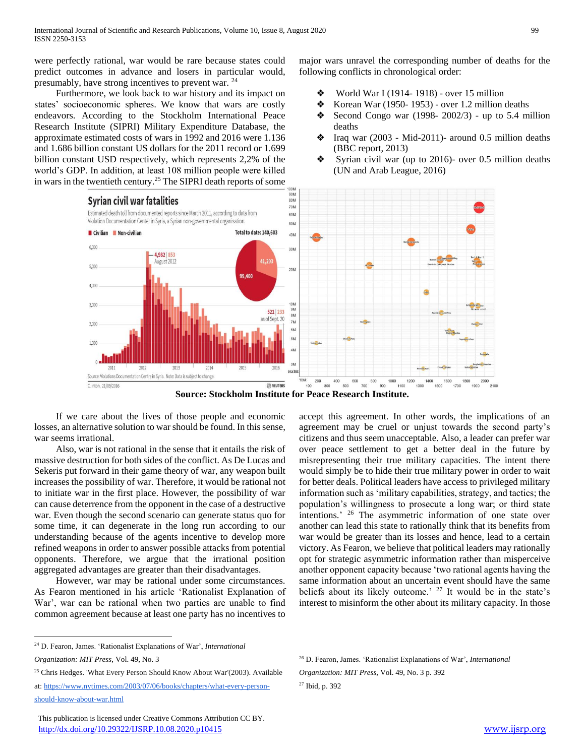were perfectly rational, war would be rare because states could predict outcomes in advance and losers in particular would, presumably, have strong incentives to prevent war. <sup>24</sup>

 Furthermore, we look back to war history and its impact on states' socioeconomic spheres. We know that wars are costly endeavors. According to the Stockholm International Peace Research Institute (SIPRI) Military Expenditure Database, the approximate estimated costs of wars in 1992 and 2016 were 1.136 and 1.686 billion constant US dollars for the 2011 record or 1.699 billion constant USD respectively, which represents 2,2% of the world's GDP. In addition, at least 108 million people were killed in wars in the twentieth century.<sup>25</sup> The SIPRI death reports of some

major wars unravel the corresponding number of deaths for the following conflicts in chronological order:

- ❖ World War I (1914- 1918) over 15 million
- $\bullet$  Korean War (1950-1953) over 1.2 million deaths
- Second Congo war (1998- 2002/3) up to 5.4 million deaths
- ❖ Iraq war (2003 Mid-2011)- around 0.5 million deaths (BBC report, 2013)
- ❖ Syrian civil war (up to 2016)- over 0.5 million deaths (UN and Arab League, 2016)



**Source: Stockholm Institute for Peace Research Institute.**

 If we care about the lives of those people and economic losses, an alternative solution to war should be found. In this sense, war seems irrational.

 Also, war is not rational in the sense that it entails the risk of massive destruction for both sides of the conflict. As De Lucas and Sekeris put forward in their game theory of war, any weapon built increases the possibility of war. Therefore, it would be rational not to initiate war in the first place. However, the possibility of war can cause deterrence from the opponent in the case of a destructive war. Even though the second scenario can generate status quo for some time, it can degenerate in the long run according to our understanding because of the agents incentive to develop more refined weapons in order to answer possible attacks from potential opponents. Therefore, we argue that the irrational position aggregated advantages are greater than their disadvantages.

 However, war may be rational under some circumstances. As Fearon mentioned in his article 'Rationalist Explanation of War', war can be rational when two parties are unable to find common agreement because at least one party has no incentives to

 $\overline{a}$ 

accept this agreement. In other words, the implications of an agreement may be cruel or unjust towards the second party's citizens and thus seem unacceptable. Also, a leader can prefer war over peace settlement to get a better deal in the future by misrepresenting their true military capacities. The intent there would simply be to hide their true military power in order to wait for better deals. Political leaders have access to privileged military information such as 'military capabilities, strategy, and tactics; the population's willingness to prosecute a long war; or third state intentions.' <sup>26</sup> The asymmetric information of one state over another can lead this state to rationally think that its benefits from war would be greater than its losses and hence, lead to a certain victory. As Fearon, we believe that political leaders may rationally opt for strategic asymmetric information rather than misperceive another opponent capacity because 'two rational agents having the same information about an uncertain event should have the same beliefs about its likely outcome.<sup>' 27</sup> It would be in the state's interest to misinform the other about its military capacity. In those

<sup>24</sup> D. Fearon, James. 'Rationalist Explanations of War', *International* 

*Organization: MIT Press*, Vol. 49, No. 3

<sup>&</sup>lt;sup>25</sup> Chris Hedges. 'What Every Person Should Know About War'(2003). Available at: [https://www.nytimes.com/2003/07/06/books/chapters/what-every-person](https://www.nytimes.com/2003/07/06/books/chapters/what-every-person-should-know-about-war.html)[should-know-about-war.html](https://www.nytimes.com/2003/07/06/books/chapters/what-every-person-should-know-about-war.html)

This publication is licensed under Creative Commons Attribution CC BY. <http://dx.doi.org/10.29322/IJSRP.10.08.2020.p10415> [www.ijsrp.org](http://ijsrp.org/)

<sup>26</sup> D. Fearon, James. 'Rationalist Explanations of War', *International* 

*Organization: MIT Press*, Vol. 49, No. 3 p. 392

<sup>27</sup> Ibid, p. 392